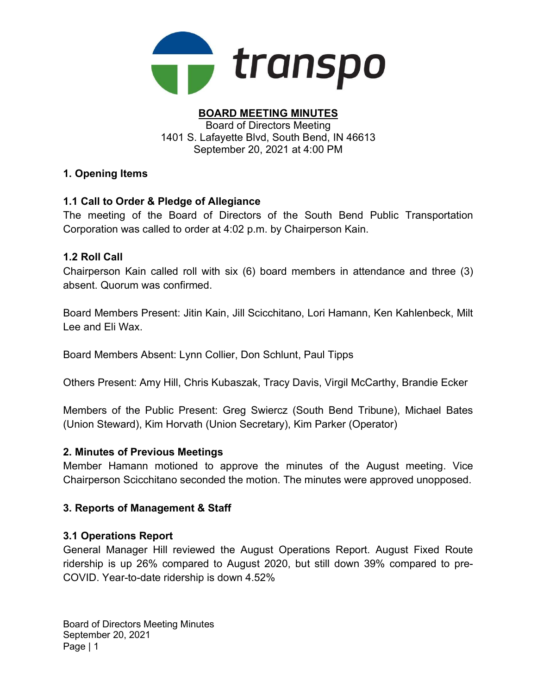

#### BOARD MEETING MINUTES Board of Directors Meeting

1401 S. Lafayette Blvd, South Bend, IN 46613 September 20, 2021 at 4:00 PM

## 1. Opening Items

## 1.1 Call to Order & Pledge of Allegiance

The meeting of the Board of Directors of the South Bend Public Transportation Corporation was called to order at 4:02 p.m. by Chairperson Kain.

### 1.2 Roll Call

Chairperson Kain called roll with six (6) board members in attendance and three (3) absent. Quorum was confirmed.

Board Members Present: Jitin Kain, Jill Scicchitano, Lori Hamann, Ken Kahlenbeck, Milt Lee and Eli Wax.

Board Members Absent: Lynn Collier, Don Schlunt, Paul Tipps

Others Present: Amy Hill, Chris Kubaszak, Tracy Davis, Virgil McCarthy, Brandie Ecker

Members of the Public Present: Greg Swiercz (South Bend Tribune), Michael Bates (Union Steward), Kim Horvath (Union Secretary), Kim Parker (Operator)

### 2. Minutes of Previous Meetings

Member Hamann motioned to approve the minutes of the August meeting. Vice Chairperson Scicchitano seconded the motion. The minutes were approved unopposed.

### 3. Reports of Management & Staff

### 3.1 Operations Report

General Manager Hill reviewed the August Operations Report. August Fixed Route ridership is up 26% compared to August 2020, but still down 39% compared to pre-COVID. Year-to-date ridership is down 4.52%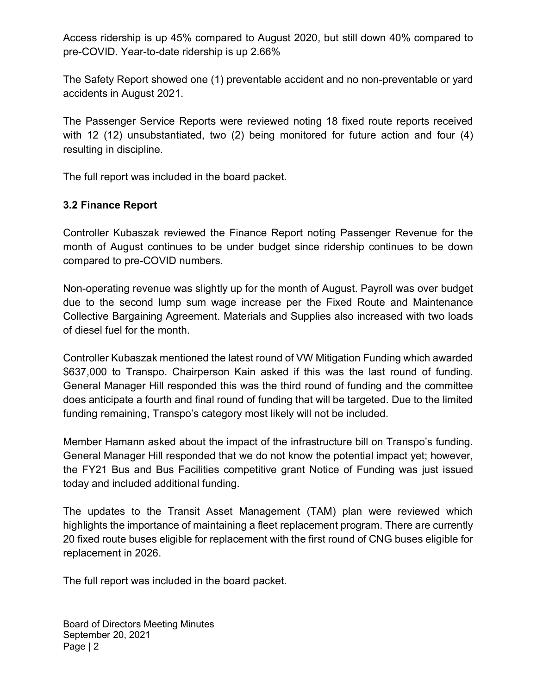Access ridership is up 45% compared to August 2020, but still down 40% compared to pre-COVID. Year-to-date ridership is up 2.66%

The Safety Report showed one (1) preventable accident and no non-preventable or yard accidents in August 2021.

The Passenger Service Reports were reviewed noting 18 fixed route reports received with 12 (12) unsubstantiated, two (2) being monitored for future action and four (4) resulting in discipline.

The full report was included in the board packet.

### 3.2 Finance Report

Controller Kubaszak reviewed the Finance Report noting Passenger Revenue for the month of August continues to be under budget since ridership continues to be down compared to pre-COVID numbers.

Non-operating revenue was slightly up for the month of August. Payroll was over budget due to the second lump sum wage increase per the Fixed Route and Maintenance Collective Bargaining Agreement. Materials and Supplies also increased with two loads of diesel fuel for the month.

Controller Kubaszak mentioned the latest round of VW Mitigation Funding which awarded \$637,000 to Transpo. Chairperson Kain asked if this was the last round of funding. General Manager Hill responded this was the third round of funding and the committee does anticipate a fourth and final round of funding that will be targeted. Due to the limited funding remaining, Transpo's category most likely will not be included.

Member Hamann asked about the impact of the infrastructure bill on Transpo's funding. General Manager Hill responded that we do not know the potential impact yet; however, the FY21 Bus and Bus Facilities competitive grant Notice of Funding was just issued today and included additional funding.

The updates to the Transit Asset Management (TAM) plan were reviewed which highlights the importance of maintaining a fleet replacement program. There are currently 20 fixed route buses eligible for replacement with the first round of CNG buses eligible for replacement in 2026.

The full report was included in the board packet.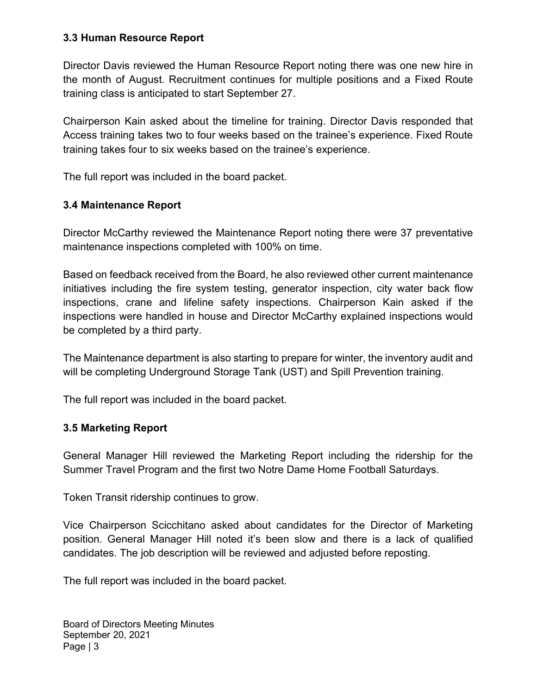### 3.3 Human Resource Report

Director Davis reviewed the Human Resource Report noting there was one new hire in the month of August. Recruitment continues for multiple positions and a Fixed Route training class is anticipated to start September 27.

Chairperson Kain asked about the timeline for training. Director Davis responded that Access training takes two to four weeks based on the trainee's experience. Fixed Route training takes four to six weeks based on the trainee's experience.

The full report was included in the board packet.

### 3.4 Maintenance Report

Director McCarthy reviewed the Maintenance Report noting there were 37 preventative maintenance inspections completed with 100% on time.

Based on feedback received from the Board, he also reviewed other current maintenance initiatives including the fire system testing, generator inspection, city water back flow inspections, crane and lifeline safety inspections. Chairperson Kain asked if the inspections were handled in house and Director McCarthy explained inspections would be completed by a third party.

The Maintenance department is also starting to prepare for winter, the inventory audit and will be completing Underground Storage Tank (UST) and Spill Prevention training.

The full report was included in the board packet.

#### 3.5 Marketing Report

General Manager Hill reviewed the Marketing Report including the ridership for the Summer Travel Program and the first two Notre Dame Home Football Saturdays.

Token Transit ridership continues to grow.

Vice Chairperson Scicchitano asked about candidates for the Director of Marketing position. General Manager Hill noted it's been slow and there is a lack of qualified candidates. The job description will be reviewed and adjusted before reposting.

The full report was included in the board packet.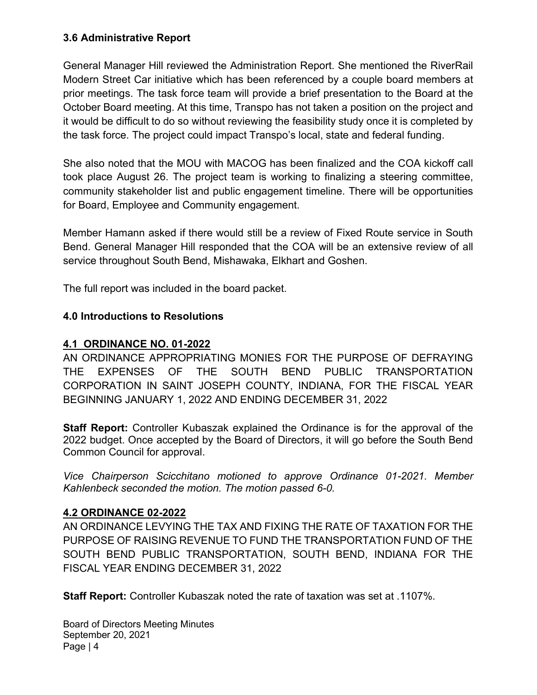### 3.6 Administrative Report

General Manager Hill reviewed the Administration Report. She mentioned the RiverRail Modern Street Car initiative which has been referenced by a couple board members at prior meetings. The task force team will provide a brief presentation to the Board at the October Board meeting. At this time, Transpo has not taken a position on the project and it would be difficult to do so without reviewing the feasibility study once it is completed by the task force. The project could impact Transpo's local, state and federal funding.

She also noted that the MOU with MACOG has been finalized and the COA kickoff call took place August 26. The project team is working to finalizing a steering committee, community stakeholder list and public engagement timeline. There will be opportunities for Board, Employee and Community engagement.

Member Hamann asked if there would still be a review of Fixed Route service in South Bend. General Manager Hill responded that the COA will be an extensive review of all service throughout South Bend, Mishawaka, Elkhart and Goshen.

The full report was included in the board packet.

## 4.0 Introductions to Resolutions

## 4.1 ORDINANCE NO. 01-2022

AN ORDINANCE APPROPRIATING MONIES FOR THE PURPOSE OF DEFRAYING THE EXPENSES OF THE SOUTH BEND PUBLIC TRANSPORTATION CORPORATION IN SAINT JOSEPH COUNTY, INDIANA, FOR THE FISCAL YEAR BEGINNING JANUARY 1, 2022 AND ENDING DECEMBER 31, 2022

Staff Report: Controller Kubaszak explained the Ordinance is for the approval of the 2022 budget. Once accepted by the Board of Directors, it will go before the South Bend Common Council for approval.

Vice Chairperson Scicchitano motioned to approve Ordinance 01-2021. Member Kahlenbeck seconded the motion. The motion passed 6-0.

### 4.2 ORDINANCE 02-2022

AN ORDINANCE LEVYING THE TAX AND FIXING THE RATE OF TAXATION FOR THE PURPOSE OF RAISING REVENUE TO FUND THE TRANSPORTATION FUND OF THE SOUTH BEND PUBLIC TRANSPORTATION, SOUTH BEND, INDIANA FOR THE FISCAL YEAR ENDING DECEMBER 31, 2022

Staff Report: Controller Kubaszak noted the rate of taxation was set at .1107%.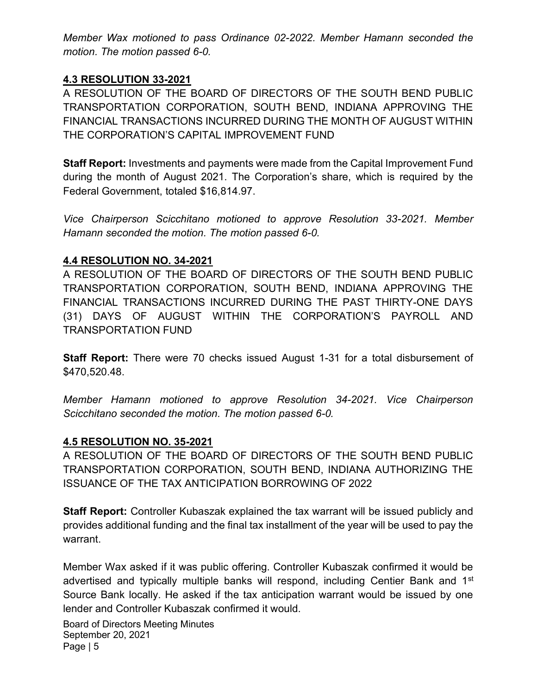Member Wax motioned to pass Ordinance 02-2022. Member Hamann seconded the motion. The motion passed 6-0.

### 4.3 RESOLUTION 33-2021

A RESOLUTION OF THE BOARD OF DIRECTORS OF THE SOUTH BEND PUBLIC TRANSPORTATION CORPORATION, SOUTH BEND, INDIANA APPROVING THE FINANCIAL TRANSACTIONS INCURRED DURING THE MONTH OF AUGUST WITHIN THE CORPORATION'S CAPITAL IMPROVEMENT FUND

Staff Report: Investments and payments were made from the Capital Improvement Fund during the month of August 2021. The Corporation's share, which is required by the Federal Government, totaled \$16,814.97.

Vice Chairperson Scicchitano motioned to approve Resolution 33-2021. Member Hamann seconded the motion. The motion passed 6-0.

#### 4.4 RESOLUTION NO. 34-2021

A RESOLUTION OF THE BOARD OF DIRECTORS OF THE SOUTH BEND PUBLIC TRANSPORTATION CORPORATION, SOUTH BEND, INDIANA APPROVING THE FINANCIAL TRANSACTIONS INCURRED DURING THE PAST THIRTY-ONE DAYS (31) DAYS OF AUGUST WITHIN THE CORPORATION'S PAYROLL AND TRANSPORTATION FUND

Staff Report: There were 70 checks issued August 1-31 for a total disbursement of \$470,520.48.

Member Hamann motioned to approve Resolution 34-2021. Vice Chairperson Scicchitano seconded the motion. The motion passed 6-0.

#### 4.5 RESOLUTION NO. 35-2021

A RESOLUTION OF THE BOARD OF DIRECTORS OF THE SOUTH BEND PUBLIC TRANSPORTATION CORPORATION, SOUTH BEND, INDIANA AUTHORIZING THE ISSUANCE OF THE TAX ANTICIPATION BORROWING OF 2022

Staff Report: Controller Kubaszak explained the tax warrant will be issued publicly and provides additional funding and the final tax installment of the year will be used to pay the warrant.

Member Wax asked if it was public offering. Controller Kubaszak confirmed it would be advertised and typically multiple banks will respond, including Centier Bank and 1<sup>st</sup> Source Bank locally. He asked if the tax anticipation warrant would be issued by one lender and Controller Kubaszak confirmed it would.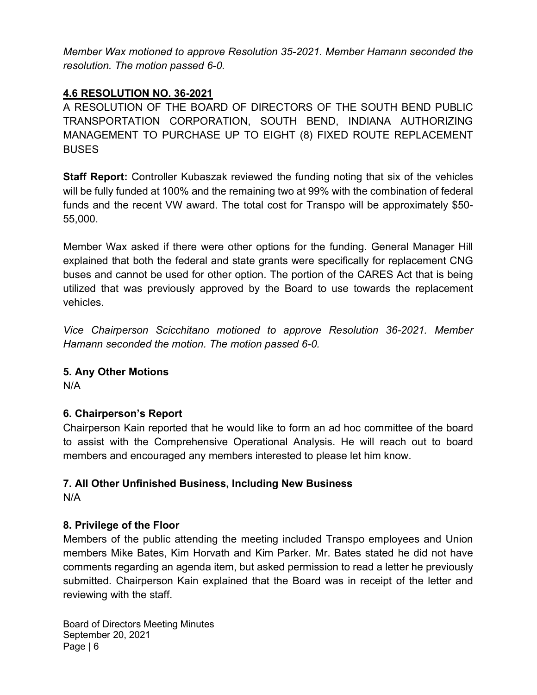Member Wax motioned to approve Resolution 35-2021. Member Hamann seconded the resolution. The motion passed 6-0.

## 4.6 RESOLUTION NO. 36-2021

A RESOLUTION OF THE BOARD OF DIRECTORS OF THE SOUTH BEND PUBLIC TRANSPORTATION CORPORATION, SOUTH BEND, INDIANA AUTHORIZING MANAGEMENT TO PURCHASE UP TO EIGHT (8) FIXED ROUTE REPLACEMENT **BUSES** 

Staff Report: Controller Kubaszak reviewed the funding noting that six of the vehicles will be fully funded at 100% and the remaining two at 99% with the combination of federal funds and the recent VW award. The total cost for Transpo will be approximately \$50- 55,000.

Member Wax asked if there were other options for the funding. General Manager Hill explained that both the federal and state grants were specifically for replacement CNG buses and cannot be used for other option. The portion of the CARES Act that is being utilized that was previously approved by the Board to use towards the replacement vehicles.

Vice Chairperson Scicchitano motioned to approve Resolution 36-2021. Member Hamann seconded the motion. The motion passed 6-0.

### 5. Any Other Motions

N/A

### 6. Chairperson's Report

Chairperson Kain reported that he would like to form an ad hoc committee of the board to assist with the Comprehensive Operational Analysis. He will reach out to board members and encouraged any members interested to please let him know.

## 7. All Other Unfinished Business, Including New Business

N/A

### 8. Privilege of the Floor

Members of the public attending the meeting included Transpo employees and Union members Mike Bates, Kim Horvath and Kim Parker. Mr. Bates stated he did not have comments regarding an agenda item, but asked permission to read a letter he previously submitted. Chairperson Kain explained that the Board was in receipt of the letter and reviewing with the staff.